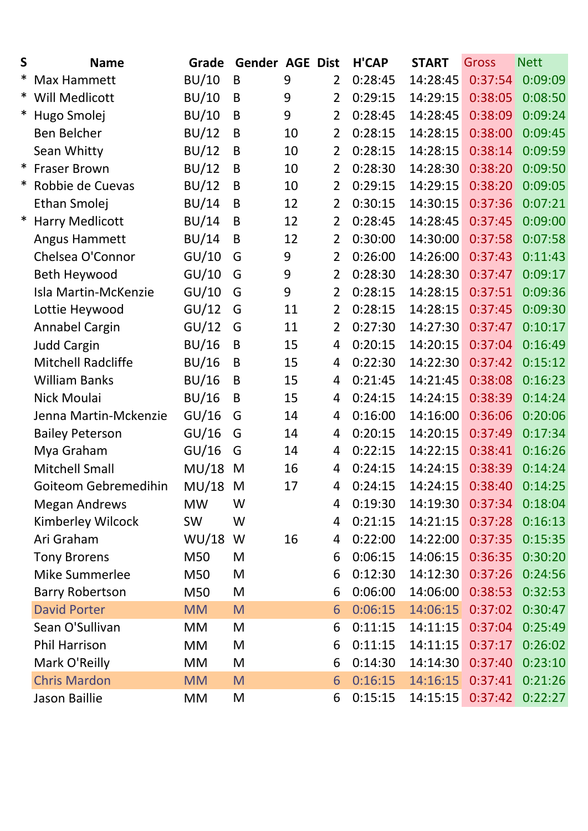| S | <b>Name</b>               | Grade        | <b>Gender AGE Dist</b> |    |                | <b>H'CAP</b> | <b>START</b> | <b>Gross</b>     | <b>Nett</b> |
|---|---------------------------|--------------|------------------------|----|----------------|--------------|--------------|------------------|-------------|
| ∗ | Max Hammett               | BU/10        | B                      | 9  | $\overline{2}$ | 0:28:45      | 14:28:45     | 0:37:54          | 0:09:09     |
|   | * Will Medlicott          | BU/10        | B                      | 9  | $\overline{2}$ | 0:29:15      | 14:29:15     | 0:38:05          | 0:08:50     |
| ∗ | Hugo Smolej               | BU/10        | B                      | 9  | $\overline{2}$ | 0:28:45      | 14:28:45     | 0:38:09          | 0:09:24     |
|   | Ben Belcher               | BU/12        | B                      | 10 | $\overline{2}$ | 0:28:15      | 14:28:15     | 0:38:00          | 0:09:45     |
|   | Sean Whitty               | BU/12        | B                      | 10 | $\overline{2}$ | 0:28:15      | 14:28:15     | 0:38:14          | 0:09:59     |
|   | * Fraser Brown            | BU/12        | B                      | 10 | $\overline{2}$ | 0:28:30      | 14:28:30     | 0:38:20          | 0:09:50     |
| ∗ | Robbie de Cuevas          | BU/12        | B                      | 10 | $\overline{2}$ | 0:29:15      | 14:29:15     | 0:38:20          | 0:09:05     |
|   | Ethan Smolej              | BU/14        | B                      | 12 | $\overline{2}$ | 0:30:15      | 14:30:15     | 0:37:36          | 0:07:21     |
| * | <b>Harry Medlicott</b>    | BU/14        | B                      | 12 | $\overline{2}$ | 0:28:45      | 14:28:45     | 0:37:45          | 0:09:00     |
|   | Angus Hammett             | BU/14        | B                      | 12 | $\overline{2}$ | 0:30:00      | 14:30:00     | 0:37:58          | 0:07:58     |
|   | Chelsea O'Connor          | GU/10        | G                      | 9  | $\overline{2}$ | 0:26:00      | 14:26:00     | 0:37:43          | 0:11:43     |
|   | Beth Heywood              | GU/10        | G                      | 9  | $\overline{2}$ | 0:28:30      | 14:28:30     | 0:37:47          | 0:09:17     |
|   | Isla Martin-McKenzie      | GU/10        | G                      | 9  | $\overline{2}$ | 0:28:15      | 14:28:15     | 0:37:51          | 0:09:36     |
|   | Lottie Heywood            | GU/12        | G                      | 11 | $\overline{2}$ | 0:28:15      | 14:28:15     | 0:37:45          | 0:09:30     |
|   | Annabel Cargin            | GU/12        | G                      | 11 | $\overline{2}$ | 0:27:30      | 14:27:30     | 0:37:47          | 0:10:17     |
|   | <b>Judd Cargin</b>        | BU/16        | B                      | 15 | 4              | 0:20:15      | 14:20:15     | 0:37:04          | 0:16:49     |
|   | <b>Mitchell Radcliffe</b> | <b>BU/16</b> | B                      | 15 | 4              | 0:22:30      | 14:22:30     | 0:37:42          | 0:15:12     |
|   | <b>William Banks</b>      | BU/16        | B                      | 15 | 4              | 0:21:45      | 14:21:45     | 0:38:08          | 0:16:23     |
|   | Nick Moulai               | BU/16        | $\sf B$                | 15 | 4              | 0:24:15      | 14:24:15     | 0:38:39          | 0:14:24     |
|   | Jenna Martin-Mckenzie     | GU/16        | G                      | 14 | 4              | 0:16:00      | 14:16:00     | 0:36:06          | 0:20:06     |
|   | <b>Bailey Peterson</b>    | GU/16        | G                      | 14 | 4              | 0:20:15      | 14:20:15     | 0:37:49          | 0:17:34     |
|   | Mya Graham                | GU/16        | G                      | 14 | 4              | 0:22:15      | 14:22:15     | 0:38:41          | 0:16:26     |
|   | <b>Mitchell Small</b>     | MU/18        | M                      | 16 | 4              | 0:24:15      | 14:24:15     | 0:38:39          | 0:14:24     |
|   | Goiteom Gebremedihin      | MU/18        | M                      | 17 | 4              | 0:24:15      | 14:24:15     | 0:38:40          | 0:14:25     |
|   | <b>Megan Andrews</b>      | <b>MW</b>    | W                      |    | 4              | 0:19:30      | 14:19:30     | 0:37:34          | 0:18:04     |
|   | Kimberley Wilcock         | <b>SW</b>    | W                      |    | 4              | 0:21:15      | 14:21:15     | 0:37:28          | 0:16:13     |
|   | Ari Graham                | WU/18        | W                      | 16 | 4              | 0:22:00      | 14:22:00     | 0:37:35          | 0:15:35     |
|   | <b>Tony Brorens</b>       | M50          | M                      |    | 6              | 0:06:15      | 14:06:15     | 0:36:35          | 0:30:20     |
|   | Mike Summerlee            | M50          | M                      |    | 6              | 0:12:30      | 14:12:30     | 0:37:26          | 0:24:56     |
|   | <b>Barry Robertson</b>    | M50          | M                      |    | 6              | 0:06:00      | 14:06:00     | 0:38:53          | 0:32:53     |
|   | <b>David Porter</b>       | <b>MM</b>    | M                      |    | 6              | 0:06:15      | 14:06:15     | 0:37:02          | 0:30:47     |
|   | Sean O'Sullivan           | <b>MM</b>    | M                      |    | 6              | 0:11:15      | 14:11:15     | 0:37:04          | 0:25:49     |
|   | <b>Phil Harrison</b>      | <b>MM</b>    | M                      |    | 6              | 0:11:15      | 14:11:15     | 0:37:17          | 0:26:02     |
|   | Mark O'Reilly             | <b>MM</b>    | M                      |    | 6              | 0:14:30      | 14:14:30     | 0:37:40          | 0:23:10     |
|   | <b>Chris Mardon</b>       | <b>MM</b>    | M                      |    | 6              | 0:16:15      | 14:16:15     | 0:37:41          | 0:21:26     |
|   | Jason Baillie             | <b>MM</b>    | M                      |    | 6              | 0:15:15      |              | 14:15:15 0:37:42 | 0:22:27     |